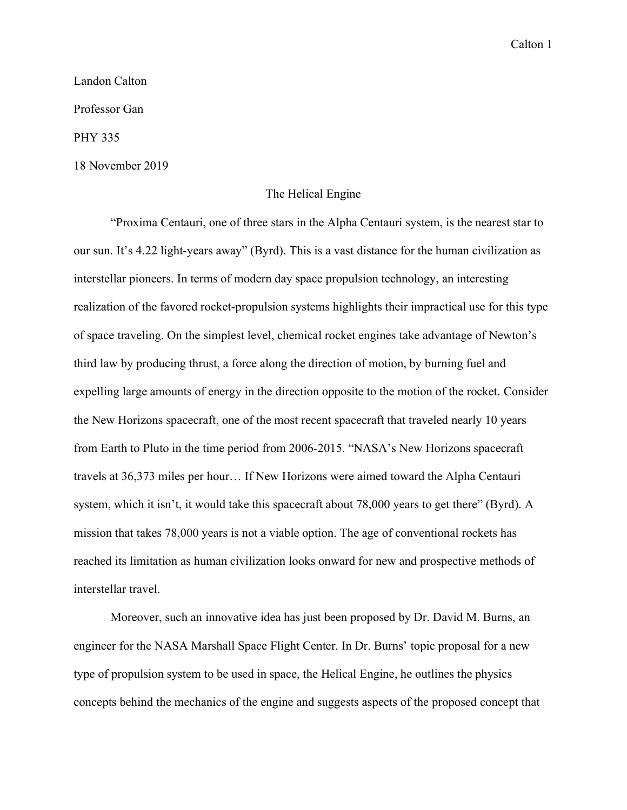## Landon Calton

Professor Gan

PHY 335

18 November 2019

## The Helical Engine

"Proxima Centauri, one of three stars in the Alpha Centauri system, is the nearest star to our sun. It's 4.22 light-years away" (Byrd). This is a vast distance for the human civilization as interstellar pioneers. In terms of modern day space propulsion technology, an interesting realization of the favored rocket-propulsion systems highlights their impractical use for this type of space traveling. On the simplest level, chemical rocket engines take advantage of Newton's third law by producing thrust, a force along the direction of motion, by burning fuel and expelling large amounts of energy in the direction opposite to the motion of the rocket. Consider the New Horizons spacecraft, one of the most recent spacecraft that traveled nearly 10 years from Earth to Pluto in the time period from 2006-2015. "NASA's New Horizons spacecraft travels at 36,373 miles per hour… If New Horizons were aimed toward the Alpha Centauri system, which it isn't, it would take this spacecraft about 78,000 years to get there" (Byrd). A mission that takes 78,000 years is not a viable option. The age of conventional rockets has reached its limitation as human civilization looks onward for new and prospective methods of interstellar travel.

Moreover, such an innovative idea has just been proposed by Dr. David M. Burns, an engineer for the NASA Marshall Space Flight Center. In Dr. Burns' topic proposal for a new type of propulsion system to be used in space, the Helical Engine, he outlines the physics concepts behind the mechanics of the engine and suggests aspects of the proposed concept that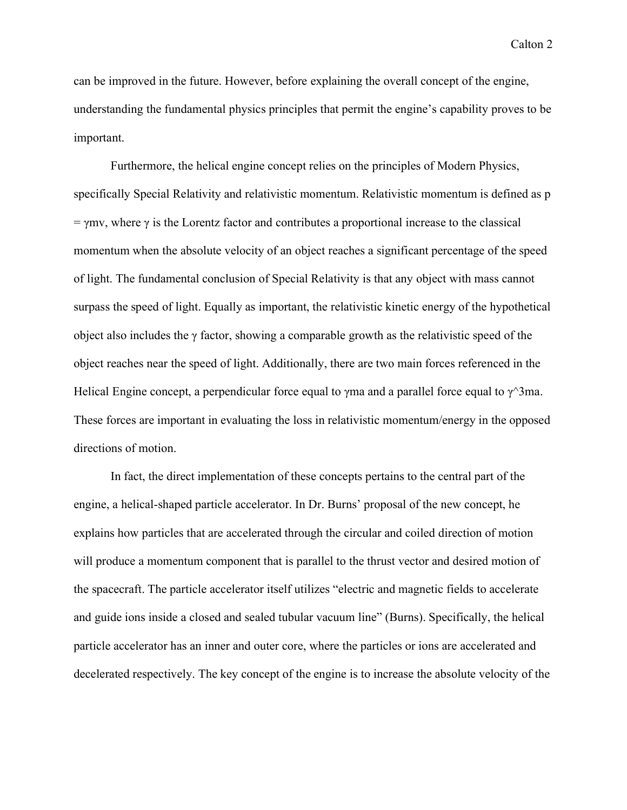can be improved in the future. However, before explaining the overall concept of the engine, understanding the fundamental physics principles that permit the engine's capability proves to be important.

Furthermore, the helical engine concept relies on the principles of Modern Physics, specifically Special Relativity and relativistic momentum. Relativistic momentum is defined as p  $= \gamma mv$ , where  $\gamma$  is the Lorentz factor and contributes a proportional increase to the classical momentum when the absolute velocity of an object reaches a significant percentage of the speed of light. The fundamental conclusion of Special Relativity is that any object with mass cannot surpass the speed of light. Equally as important, the relativistic kinetic energy of the hypothetical object also includes the γ factor, showing a comparable growth as the relativistic speed of the object reaches near the speed of light. Additionally, there are two main forces referenced in the Helical Engine concept, a perpendicular force equal to  $\gamma$ ma and a parallel force equal to  $\gamma^2$ 3ma. These forces are important in evaluating the loss in relativistic momentum/energy in the opposed directions of motion.

In fact, the direct implementation of these concepts pertains to the central part of the engine, a helical-shaped particle accelerator. In Dr. Burns' proposal of the new concept, he explains how particles that are accelerated through the circular and coiled direction of motion will produce a momentum component that is parallel to the thrust vector and desired motion of the spacecraft. The particle accelerator itself utilizes "electric and magnetic fields to accelerate and guide ions inside a closed and sealed tubular vacuum line" (Burns). Specifically, the helical particle accelerator has an inner and outer core, where the particles or ions are accelerated and decelerated respectively. The key concept of the engine is to increase the absolute velocity of the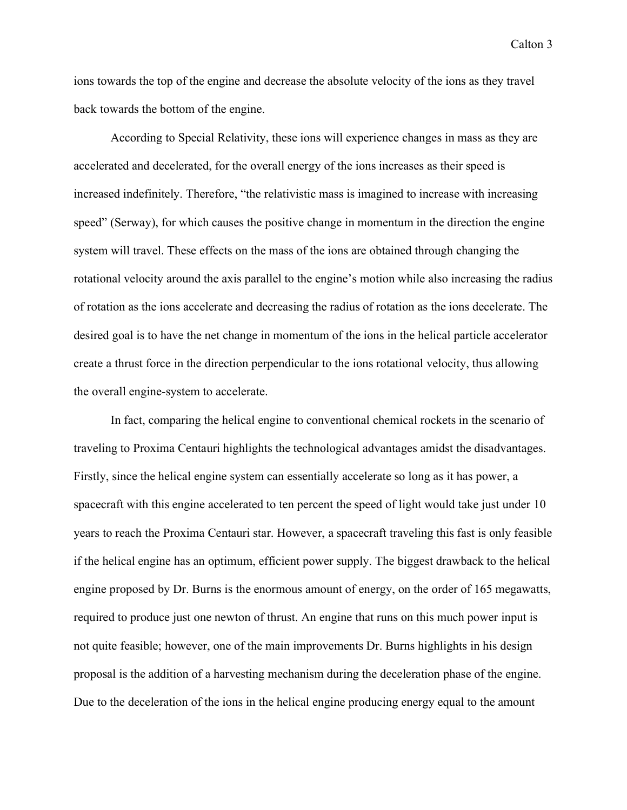ions towards the top of the engine and decrease the absolute velocity of the ions as they travel back towards the bottom of the engine.

According to Special Relativity, these ions will experience changes in mass as they are accelerated and decelerated, for the overall energy of the ions increases as their speed is increased indefinitely. Therefore, "the relativistic mass is imagined to increase with increasing speed" (Serway), for which causes the positive change in momentum in the direction the engine system will travel. These effects on the mass of the ions are obtained through changing the rotational velocity around the axis parallel to the engine's motion while also increasing the radius of rotation as the ions accelerate and decreasing the radius of rotation as the ions decelerate. The desired goal is to have the net change in momentum of the ions in the helical particle accelerator create a thrust force in the direction perpendicular to the ions rotational velocity, thus allowing the overall engine-system to accelerate.

In fact, comparing the helical engine to conventional chemical rockets in the scenario of traveling to Proxima Centauri highlights the technological advantages amidst the disadvantages. Firstly, since the helical engine system can essentially accelerate so long as it has power, a spacecraft with this engine accelerated to ten percent the speed of light would take just under 10 years to reach the Proxima Centauri star. However, a spacecraft traveling this fast is only feasible if the helical engine has an optimum, efficient power supply. The biggest drawback to the helical engine proposed by Dr. Burns is the enormous amount of energy, on the order of 165 megawatts, required to produce just one newton of thrust. An engine that runs on this much power input is not quite feasible; however, one of the main improvements Dr. Burns highlights in his design proposal is the addition of a harvesting mechanism during the deceleration phase of the engine. Due to the deceleration of the ions in the helical engine producing energy equal to the amount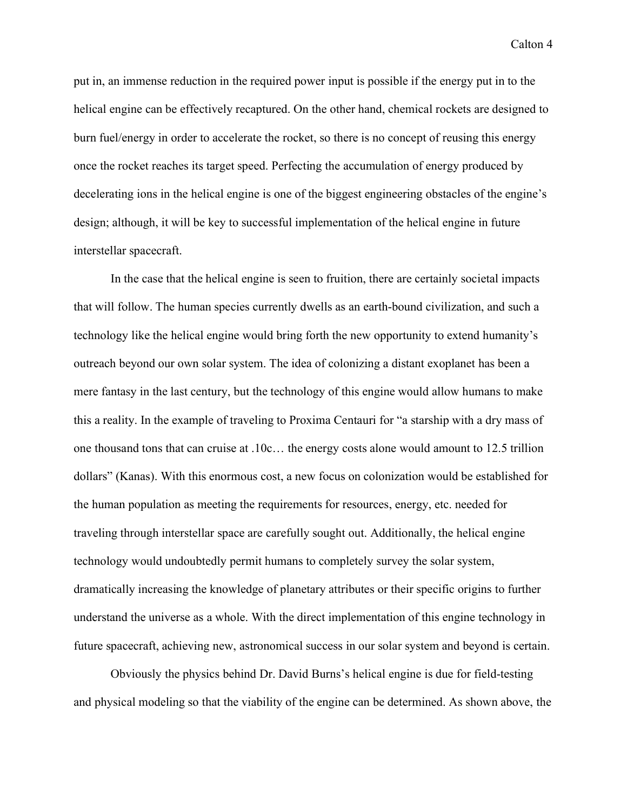put in, an immense reduction in the required power input is possible if the energy put in to the helical engine can be effectively recaptured. On the other hand, chemical rockets are designed to burn fuel/energy in order to accelerate the rocket, so there is no concept of reusing this energy once the rocket reaches its target speed. Perfecting the accumulation of energy produced by decelerating ions in the helical engine is one of the biggest engineering obstacles of the engine's design; although, it will be key to successful implementation of the helical engine in future interstellar spacecraft.

In the case that the helical engine is seen to fruition, there are certainly societal impacts that will follow. The human species currently dwells as an earth-bound civilization, and such a technology like the helical engine would bring forth the new opportunity to extend humanity's outreach beyond our own solar system. The idea of colonizing a distant exoplanet has been a mere fantasy in the last century, but the technology of this engine would allow humans to make this a reality. In the example of traveling to Proxima Centauri for "a starship with a dry mass of one thousand tons that can cruise at .10c… the energy costs alone would amount to 12.5 trillion dollars" (Kanas). With this enormous cost, a new focus on colonization would be established for the human population as meeting the requirements for resources, energy, etc. needed for traveling through interstellar space are carefully sought out. Additionally, the helical engine technology would undoubtedly permit humans to completely survey the solar system, dramatically increasing the knowledge of planetary attributes or their specific origins to further understand the universe as a whole. With the direct implementation of this engine technology in future spacecraft, achieving new, astronomical success in our solar system and beyond is certain.

Obviously the physics behind Dr. David Burns's helical engine is due for field-testing and physical modeling so that the viability of the engine can be determined. As shown above, the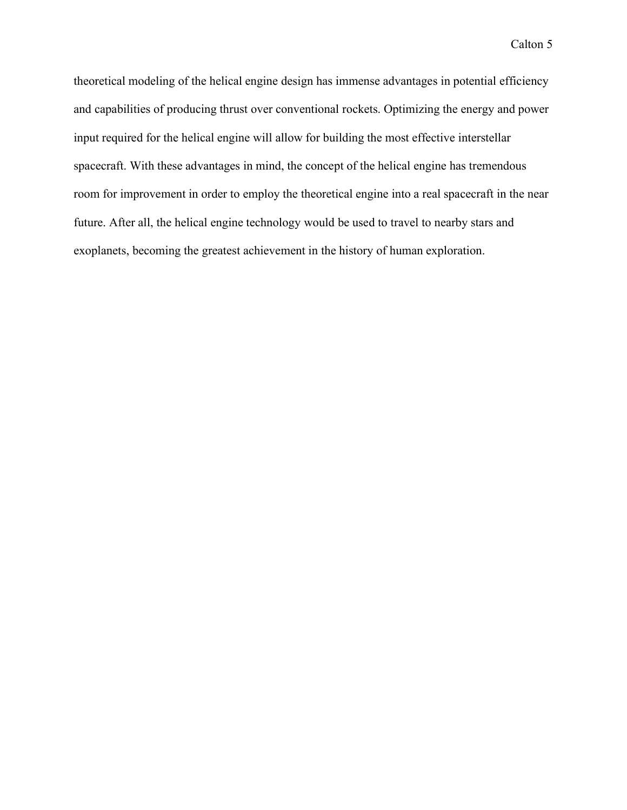theoretical modeling of the helical engine design has immense advantages in potential efficiency and capabilities of producing thrust over conventional rockets. Optimizing the energy and power input required for the helical engine will allow for building the most effective interstellar spacecraft. With these advantages in mind, the concept of the helical engine has tremendous room for improvement in order to employ the theoretical engine into a real spacecraft in the near future. After all, the helical engine technology would be used to travel to nearby stars and exoplanets, becoming the greatest achievement in the history of human exploration.